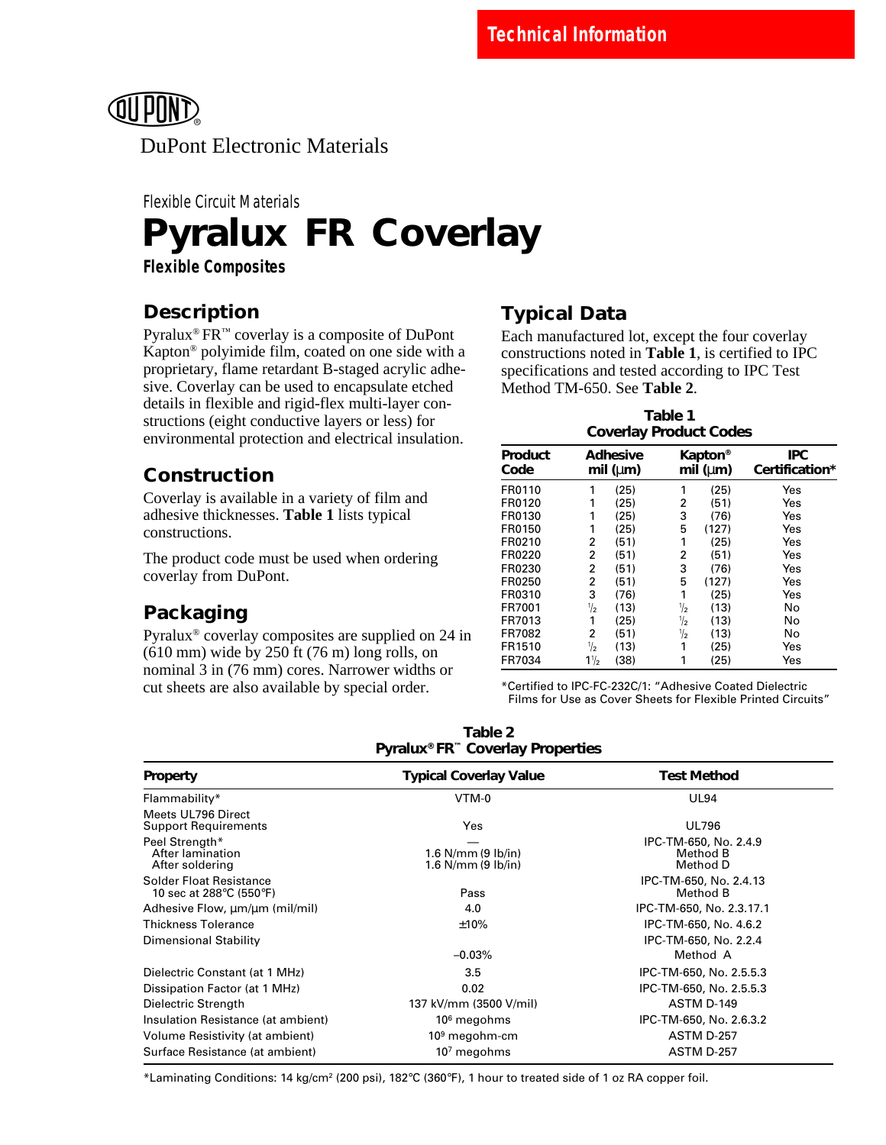

# **Pyralux FR Coverlay** Flexible Circuit Materials

**Flexible Composites**

# **Description**

Pyralux® FR™ coverlay is a composite of DuPont Kapton® polyimide film, coated on one side with a proprietary, flame retardant B-staged acrylic adhesive. Coverlay can be used to encapsulate etched details in flexible and rigid-flex multi-layer constructions (eight conductive layers or less) for environmental protection and electrical insulation.

## **Construction**

Coverlay is available in a variety of film and adhesive thicknesses. **Table 1** lists typical constructions.

The product code must be used when ordering coverlay from DuPont.

# **Packaging**

Pyralux® coverlay composites are supplied on 24 in (610 mm) wide by 250 ft (76 m) long rolls, on nominal 3 in (76 mm) cores. Narrower widths or cut sheets are also available by special order.

## **Typical Data**

Each manufactured lot, except the four coverlay constructions noted in **Table 1**, is certified to IPC specifications and tested according to IPC Test Method TM-650. See **Table 2**.

| Table 1<br><b>Coverlay Product Codes</b> |                                   |      |   |                                              |       |                              |  |
|------------------------------------------|-----------------------------------|------|---|----------------------------------------------|-------|------------------------------|--|
| Product<br>Code                          | <b>Adhesive</b><br>mil ( $\mu$ m) |      |   | <b>Kapton</b> <sup>®</sup><br>mil ( $\mu$ m) |       | <b>IPC</b><br>Certification* |  |
| FR0110                                   | 1                                 | (25) |   | 1                                            | (25)  | Yes                          |  |
| FR0120                                   | 1                                 | (25) |   | 2                                            | (51)  | Yes                          |  |
| FR0130                                   | 1                                 | (25) |   | 3                                            | (76)  | Yes                          |  |
| FR0150                                   | 1                                 | (25) |   | 5                                            | (127) | Yes                          |  |
| FR0210                                   | 2                                 | (51) |   | 1                                            | (25)  | Yes                          |  |
| FR0220                                   | 2                                 | (51) |   | 2                                            | (51)  | Yes                          |  |
| FR0230                                   | 2                                 | (51) |   | 3                                            | (76)  | Yes                          |  |
| FR0250                                   | 2                                 | (51) | 5 |                                              | (127) | Yes                          |  |
| FR0310                                   | 3                                 | (76) |   | 1                                            | (25)  | Yes                          |  |
| FR7001                                   | $\frac{1}{2}$                     | (13) |   | $\frac{1}{2}$                                | (13)  | No                           |  |
| FR7013                                   | 1                                 | (25) |   | $\frac{1}{2}$                                | (13)  | No                           |  |
| FR7082                                   | 2                                 | (51) |   | $\frac{1}{2}$                                | (13)  | No                           |  |
| FR1510                                   | $\frac{1}{2}$                     | (13) |   | 1                                            | (25)  | Yes                          |  |
| FR7034                                   | $1\frac{1}{2}$                    | (38) |   | 1                                            | (25)  | Yes                          |  |

\*Certified to IPC-FC-232C/1: "Adhesive Coated Dielectric Films for Use as Cover Sheets for Flexible Printed Circuits"

| Table 2                                      |
|----------------------------------------------|
| Pyralux® FR <sup>™</sup> Coverlay Properties |

| Property                                                  | <b>Typical Coverlay Value</b>                      | <b>Test Method</b>                            |
|-----------------------------------------------------------|----------------------------------------------------|-----------------------------------------------|
| Flammability*                                             | VTM-0                                              | <b>UL94</b>                                   |
| Meets UL796 Direct<br><b>Support Requirements</b>         | Yes                                                | <b>UL796</b>                                  |
| Peel Strength*<br>After lamination<br>After soldering     | 1.6 $N/mm$ (9 $lb/in$ )<br>1.6 $N/mm$ (9 $lb/in$ ) | IPC-TM-650, No. 2.4.9<br>Method B<br>Method D |
| <b>Solder Float Resistance</b><br>10 sec at 288°C (550°F) | Pass                                               | IPC-TM-650, No. 2.4.13<br>Method B            |
| Adhesive Flow, $\mu$ m/ $\mu$ m (mil/mil)                 | 4.0                                                | IPC-TM-650, No. 2.3.17.1                      |
| <b>Thickness Tolerance</b>                                | ±10%                                               | IPC-TM-650, No. 4.6.2                         |
| Dimensional Stability                                     |                                                    | IPC-TM-650, No. 2.2.4                         |
|                                                           | $-0.03%$                                           | Method A                                      |
| Dielectric Constant (at 1 MHz)                            | 3.5                                                | IPC-TM-650, No. 2.5.5.3                       |
| Dissipation Factor (at 1 MHz)                             | 0.02                                               | IPC-TM-650, No. 2.5.5.3                       |
| Dielectric Strength                                       | 137 kV/mm (3500 V/mil)                             | ASTM D-149                                    |
| Insulation Resistance (at ambient)                        | $106$ megohms                                      | IPC-TM-650, No. 2.6.3.2                       |
| Volume Resistivity (at ambient)                           | $109$ megohm-cm                                    | <b>ASTM D-257</b>                             |
| Surface Resistance (at ambient)                           | 10 $^7$ megohms                                    | <b>ASTM D-257</b>                             |

\*Laminating Conditions: 14 kg/cm2 (200 psi), 182°C (360°F), 1 hour to treated side of 1 oz RA copper foil.